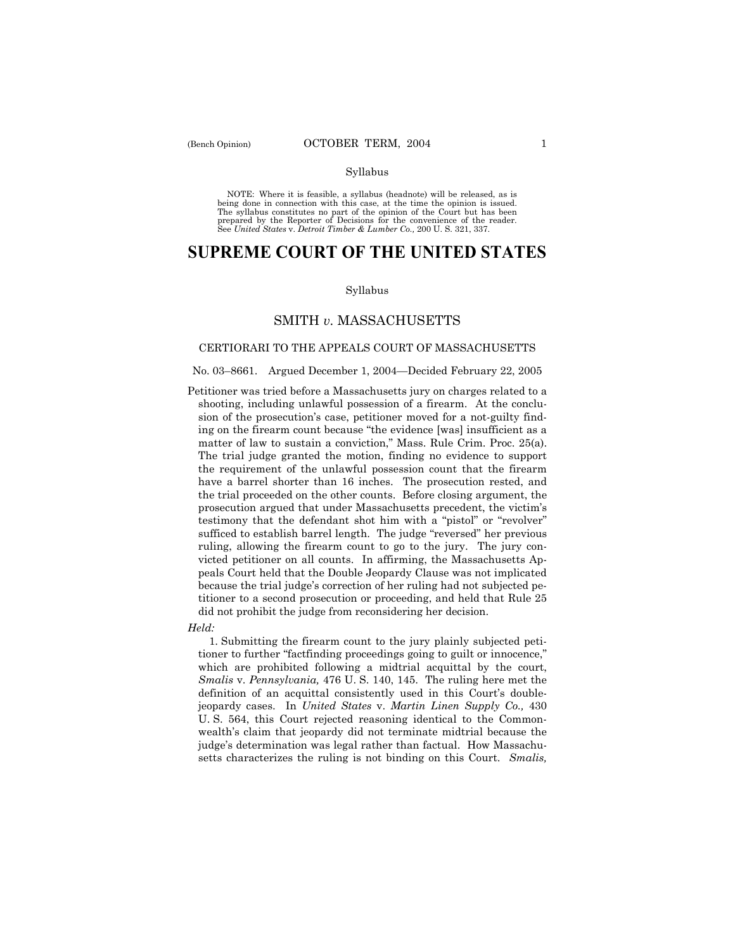#### Syllabus

NOTE: Where it is feasible, a syllabus (headnote) will be released, as is being done in connection with this case, at the time the opinion is issued. The syllabus constitutes no part of the opinion of the Court but has been<br>prepared by the Reporter of Decisions for the convenience of the reader.<br>See United States v. Detroit Timber & Lumber Co., 200 U. S. 321, 337.

# **SUPREME COURT OF THE UNITED STATES**

#### Syllabus

## SMITH *v.* MASSACHUSETTS

### CERTIORARI TO THE APPEALS COURT OF MASSACHUSETTS

#### No. 03-8661. Argued December 1, 2004–Decided February 22, 2005

Petitioner was tried before a Massachusetts jury on charges related to a shooting, including unlawful possession of a firearm. At the conclusion of the prosecution's case, petitioner moved for a not-guilty finding on the firearm count because "the evidence [was] insufficient as a matter of law to sustain a conviction," Mass. Rule Crim. Proc.  $25(a)$ . The trial judge granted the motion, finding no evidence to support the requirement of the unlawful possession count that the firearm have a barrel shorter than 16 inches. The prosecution rested, and the trial proceeded on the other counts. Before closing argument, the prosecution argued that under Massachusetts precedent, the victimís testimony that the defendant shot him with a "pistol" or "revolver" sufficed to establish barrel length. The judge "reversed" her previous ruling, allowing the firearm count to go to the jury. The jury convicted petitioner on all counts. In affirming, the Massachusetts Appeals Court held that the Double Jeopardy Clause was not implicated because the trial judge's correction of her ruling had not subjected petitioner to a second prosecution or proceeding, and held that Rule 25 did not prohibit the judge from reconsidering her decision.

#### *Held:*

 1. Submitting the firearm count to the jury plainly subjected petitioner to further "factfinding proceedings going to guilt or innocence," which are prohibited following a midtrial acquittal by the court, *Smalis* v. *Pennsylvania,* 476 U. S. 140, 145. The ruling here met the definition of an acquittal consistently used in this Court's doublejeopardy cases. In *United States* v. *Martin Linen Supply Co.,* 430 U. S. 564, this Court rejected reasoning identical to the Commonwealth's claim that jeopardy did not terminate midtrial because the judge's determination was legal rather than factual. How Massachusetts characterizes the ruling is not binding on this Court. *Smalis,*